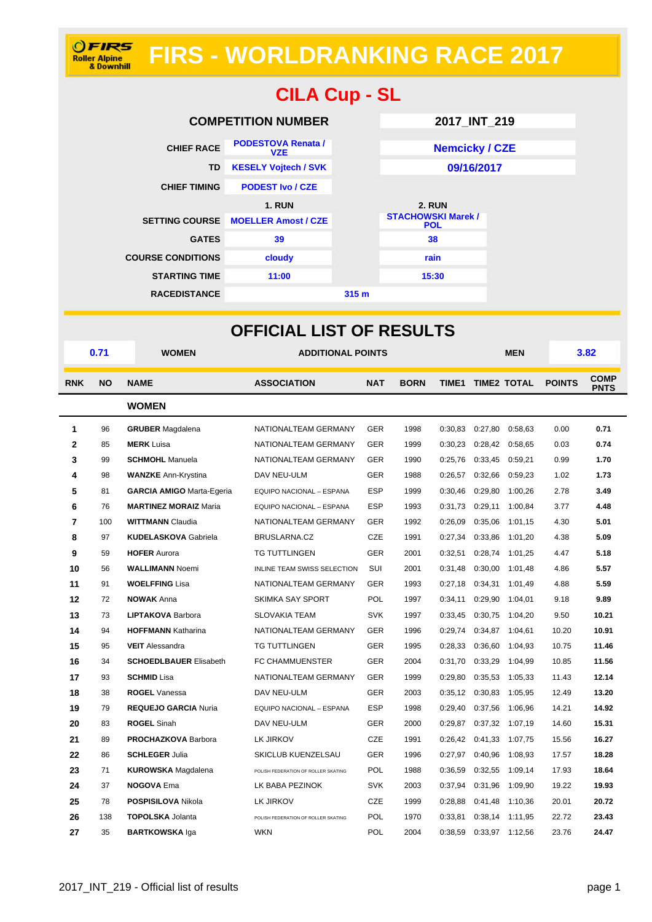## **FIRS - WORLDRANKING RACE 2017**



| <b>CILA Cup - SL</b>     |                                             |                  |                                                          |  |  |  |  |
|--------------------------|---------------------------------------------|------------------|----------------------------------------------------------|--|--|--|--|
|                          | <b>COMPETITION NUMBER</b>                   | 2017_INT_219     |                                                          |  |  |  |  |
| <b>CHIEF RACE</b>        | <b>PODESTOVA Renata /</b><br><b>VZE</b>     |                  | <b>Nemcicky / CZE</b>                                    |  |  |  |  |
| <b>TD</b>                | <b>KESELY Vojtech / SVK</b>                 |                  | 09/16/2017                                               |  |  |  |  |
| <b>CHIEF TIMING</b>      | <b>PODEST Ivo / CZE</b>                     |                  |                                                          |  |  |  |  |
| <b>SETTING COURSE</b>    | <b>1. RUN</b><br><b>MOELLER Amost / CZE</b> |                  | <b>2. RUN</b><br><b>STACHOWSKI Marek /</b><br><b>POL</b> |  |  |  |  |
| <b>GATES</b>             | 39                                          |                  | 38                                                       |  |  |  |  |
| <b>COURSE CONDITIONS</b> | cloudy                                      |                  | rain                                                     |  |  |  |  |
| <b>STARTING TIME</b>     | 11:00                                       |                  | 15:30                                                    |  |  |  |  |
| <b>RACEDISTANCE</b>      |                                             | 315 <sub>m</sub> |                                                          |  |  |  |  |

| <b>OFFICIAL LIST OF RESULTS</b> |      |                                  |                                     |            |             |         |         |                   |               |                            |
|---------------------------------|------|----------------------------------|-------------------------------------|------------|-------------|---------|---------|-------------------|---------------|----------------------------|
|                                 | 0.71 | <b>WOMEN</b>                     | <b>ADDITIONAL POINTS</b>            |            |             |         |         | <b>MEN</b>        |               | 3.82                       |
| <b>RNK</b>                      | ΝO   | <b>NAME</b>                      | <b>ASSOCIATION</b>                  | <b>NAT</b> | <b>BORN</b> |         |         | TIME1 TIME2 TOTAL | <b>POINTS</b> | <b>COMP</b><br><b>PNTS</b> |
|                                 |      | <b>WOMEN</b>                     |                                     |            |             |         |         |                   |               |                            |
| 1                               | 96   | <b>GRUBER</b> Magdalena          | NATIONALTEAM GERMANY                | <b>GER</b> | 1998        | 0:30,83 | 0:27,80 | 0:58,63           | 0.00          | 0.71                       |
| 2                               | 85   | <b>MERK</b> Luisa                | NATIONALTEAM GERMANY                | <b>GER</b> | 1999        | 0:30,23 | 0:28,42 | 0:58,65           | 0.03          | 0.74                       |
| 3                               | 99   | <b>SCHMOHL</b> Manuela           | NATIONALTEAM GERMANY                | <b>GER</b> | 1990        | 0:25,76 | 0:33,45 | 0:59,21           | 0.99          | 1.70                       |
| 4                               | 98   | <b>WANZKE Ann-Krystina</b>       | DAV NEU-ULM                         | <b>GER</b> | 1988        | 0:26,57 | 0:32,66 | 0:59,23           | 1.02          | 1.73                       |
| 5                               | 81   | <b>GARCIA AMIGO Marta-Egeria</b> | EQUIPO NACIONAL - ESPANA            | <b>ESP</b> | 1999        | 0:30,46 | 0:29,80 | 1:00,26           | 2.78          | 3.49                       |
| 6                               | 76   | <b>MARTINEZ MORAIZ Maria</b>     | EQUIPO NACIONAL - ESPANA            | <b>ESP</b> | 1993        | 0:31.73 | 0:29,11 | 1:00.84           | 3.77          | 4.48                       |
| $\overline{7}$                  | 100  | <b>WITTMANN Claudia</b>          | NATIONALTEAM GERMANY                | <b>GER</b> | 1992        | 0:26.09 | 0:35,06 | 1:01,15           | 4.30          | 5.01                       |
| 8                               | 97   | <b>KUDELASKOVA Gabriela</b>      | BRUSLARNA.CZ                        | <b>CZE</b> | 1991        | 0:27,34 | 0:33,86 | 1:01,20           | 4.38          | 5.09                       |
| 9                               | 59   | <b>HOFER Aurora</b>              | <b>TG TUTTLINGEN</b>                | <b>GER</b> | 2001        | 0:32,51 |         | 0:28,74 1:01,25   | 4.47          | 5.18                       |
| 10                              | 56   | <b>WALLIMANN Noemi</b>           | <b>INLINE TEAM SWISS SELECTION</b>  | SUI        | 2001        | 0:31,48 | 0:30,00 | 1:01,48           | 4.86          | 5.57                       |
| 11                              | 91   | <b>WOELFFING Lisa</b>            | NATIONALTEAM GERMANY                | <b>GER</b> | 1993        | 0:27,18 | 0:34,31 | 1:01,49           | 4.88          | 5.59                       |
| 12                              | 72   | <b>NOWAK Anna</b>                | SKIMKA SAY SPORT                    | POL        | 1997        | 0:34,11 | 0:29,90 | 1:04,01           | 9.18          | 9.89                       |
| 13                              | 73   | <b>LIPTAKOVA Barbora</b>         | <b>SLOVAKIA TEAM</b>                | <b>SVK</b> | 1997        | 0:33,45 | 0:30,75 | 1:04,20           | 9.50          | 10.21                      |
| 14                              | 94   | <b>HOFFMANN Katharina</b>        | NATIONALTEAM GERMANY                | <b>GER</b> | 1996        | 0:29.74 | 0:34,87 | 1:04.61           | 10.20         | 10.91                      |
| 15                              | 95   | <b>VEIT</b> Alessandra           | <b>TG TUTTLINGEN</b>                | <b>GER</b> | 1995        | 0:28.33 | 0:36,60 | 1:04,93           | 10.75         | 11.46                      |
| 16                              | 34   | <b>SCHOEDLBAUER Elisabeth</b>    | FC CHAMMUENSTER                     | <b>GER</b> | 2004        | 0:31,70 | 0:33,29 | 1:04,99           | 10.85         | 11.56                      |
| 17                              | 93   | <b>SCHMID Lisa</b>               | NATIONALTEAM GERMANY                | <b>GER</b> | 1999        | 0:29,80 | 0:35,53 | 1:05,33           | 11.43         | 12.14                      |
| 18                              | 38   | <b>ROGEL Vanessa</b>             | DAV NEU-ULM                         | <b>GER</b> | 2003        | 0:35.12 | 0:30,83 | 1:05,95           | 12.49         | 13.20                      |
| 19                              | 79   | <b>REQUEJO GARCIA Nuria</b>      | EQUIPO NACIONAL - ESPANA            | <b>ESP</b> | 1998        | 0:29,40 | 0:37,56 | 1:06,96           | 14.21         | 14.92                      |
| 20                              | 83   | <b>ROGEL Sinah</b>               | DAV NEU-ULM                         | <b>GER</b> | 2000        | 0:29,87 | 0:37,32 | 1:07,19           | 14.60         | 15.31                      |
| 21                              | 89   | <b>PROCHAZKOVA Barbora</b>       | LK JIRKOV                           | <b>CZE</b> | 1991        | 0:26,42 | 0:41,33 | 1:07,75           | 15.56         | 16.27                      |
| 22                              | 86   | <b>SCHLEGER Julia</b>            | SKICLUB KUENZELSAU                  | <b>GER</b> | 1996        | 0:27,97 | 0:40,96 | 1:08,93           | 17.57         | 18.28                      |
| 23                              | 71   | <b>KUROWSKA</b> Magdalena        | POLISH FEDERATION OF ROLLER SKATING | <b>POL</b> | 1988        | 0:36.59 | 0:32,55 | 1:09,14           | 17.93         | 18.64                      |
| 24                              | 37   | <b>NOGOVA Ema</b>                | LK BABA PEZINOK                     | <b>SVK</b> | 2003        | 0:37,94 | 0:31,96 | 1:09,90           | 19.22         | 19.93                      |
| 25                              | 78   | <b>POSPISILOVA Nikola</b>        | LK JIRKOV                           | <b>CZE</b> | 1999        | 0:28,88 | 0:41,48 | 1:10,36           | 20.01         | 20.72                      |
| 26                              | 138  | <b>TOPOLSKA Jolanta</b>          | POLISH FEDERATION OF ROLLER SKATING | POL        | 1970        | 0:33,81 | 0:38,14 | 1:11,95           | 22.72         | 23.43                      |
| 27                              | 35   | <b>BARTKOWSKA Iga</b>            | <b>WKN</b>                          | POL        | 2004        | 0:38,59 |         | 0:33,97 1:12,56   | 23.76         | 24.47                      |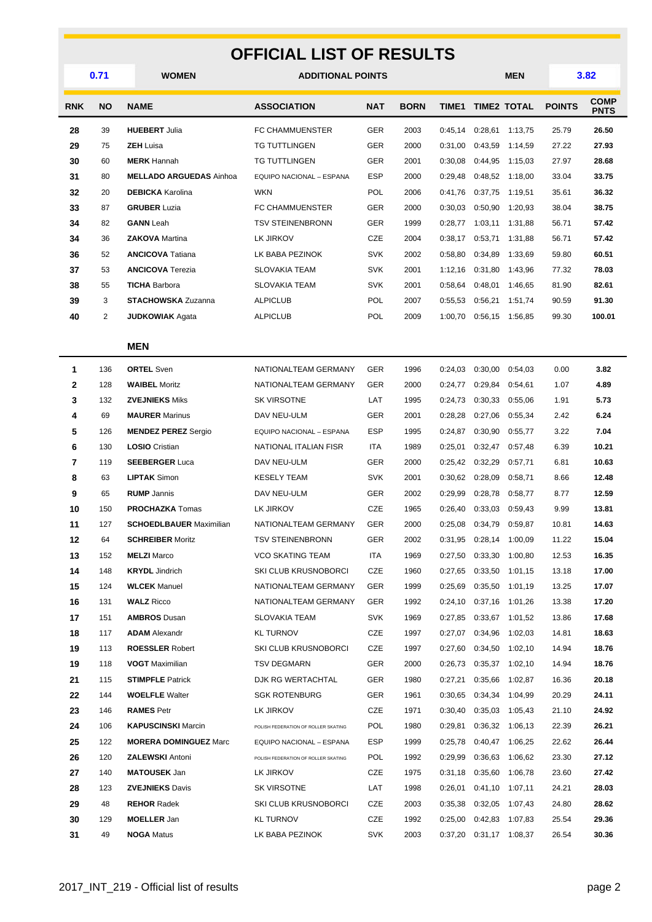## **OFFICIAL LIST OF RESULTS**

|                | 0.71      | <b>WOMEN</b><br><b>ADDITIONAL POINTS</b> |                                     |            |             |         |         | <b>MEN</b>              |               | 3.82                       |
|----------------|-----------|------------------------------------------|-------------------------------------|------------|-------------|---------|---------|-------------------------|---------------|----------------------------|
| <b>RNK</b>     | <b>NO</b> | <b>NAME</b>                              | <b>ASSOCIATION</b>                  | <b>NAT</b> | <b>BORN</b> | TIME1   |         | <b>TIME2 TOTAL</b>      | <b>POINTS</b> | <b>COMP</b><br><b>PNTS</b> |
| 28             | 39        | <b>HUEBERT Julia</b>                     | FC CHAMMUENSTER                     | <b>GER</b> | 2003        | 0:45.14 | 0:28,61 | 1:13,75                 | 25.79         | 26.50                      |
| 29             | 75        | <b>ZEH</b> Luisa                         | <b>TG TUTTLINGEN</b>                | <b>GER</b> | 2000        | 0:31,00 | 0:43,59 | 1:14,59                 | 27.22         | 27.93                      |
| 30             | 60        | <b>MERK</b> Hannah                       | <b>TG TUTTLINGEN</b>                | <b>GER</b> | 2001        | 0:30,08 | 0:44,95 | 1:15,03                 | 27.97         | 28.68                      |
| 31             | 80        | <b>MELLADO ARGUEDAS Ainhoa</b>           | EQUIPO NACIONAL - ESPANA            | <b>ESP</b> | 2000        | 0:29,48 | 0:48,52 | 1:18,00                 | 33.04         | 33.75                      |
| 32             | 20        | <b>DEBICKA Karolina</b>                  | <b>WKN</b>                          | <b>POL</b> | 2006        | 0:41,76 | 0:37,75 | 1:19,51                 | 35.61         | 36.32                      |
| 33             | 87        | <b>GRUBER</b> Luzia                      | FC CHAMMUENSTER                     | GER        | 2000        | 0:30,03 | 0:50,90 | 1:20,93                 | 38.04         | 38.75                      |
| 34             | 82        | <b>GANN</b> Leah                         | <b>TSV STEINENBRONN</b>             | <b>GER</b> | 1999        | 0:28,77 | 1:03,11 | 1:31,88                 | 56.71         | 57.42                      |
| 34             | 36        | <b>ZAKOVA</b> Martina                    | LK JIRKOV                           | CZE        | 2004        | 0:38,17 | 0:53,71 | 1:31,88                 | 56.71         | 57.42                      |
| 36             | 52        | <b>ANCICOVA Tatiana</b>                  | LK BABA PEZINOK                     | <b>SVK</b> | 2002        | 0:58,80 | 0:34,89 | 1:33,69                 | 59.80         | 60.51                      |
| 37             | 53        | <b>ANCICOVA</b> Terezia                  | <b>SLOVAKIA TEAM</b>                | <b>SVK</b> | 2001        | 1:12,16 | 0:31,80 | 1:43,96                 | 77.32         | 78.03                      |
| 38             | 55        | <b>TICHA Barbora</b>                     | <b>SLOVAKIA TEAM</b>                | <b>SVK</b> | 2001        | 0:58,64 | 0:48,01 | 1:46,65                 | 81.90         | 82.61                      |
| 39             | 3         | <b>STACHOWSKA Zuzanna</b>                | <b>ALPICLUB</b>                     | POL        | 2007        | 0:55,53 | 0:56,21 | 1:51,74                 | 90.59         | 91.30                      |
| 40             | 2         | <b>JUDKOWIAK Agata</b>                   | <b>ALPICLUB</b>                     | <b>POL</b> | 2009        | 1:00,70 | 0:56,15 | 1:56,85                 | 99.30         | 100.01                     |
|                |           | <b>MEN</b>                               |                                     |            |             |         |         |                         |               |                            |
| 1              | 136       | <b>ORTEL Sven</b>                        | NATIONALTEAM GERMANY                | <b>GER</b> | 1996        | 0:24,03 | 0:30,00 | 0:54,03                 | 0.00          | 3.82                       |
| 2              | 128       | <b>WAIBEL Moritz</b>                     | NATIONALTEAM GERMANY                | GER        | 2000        | 0:24,77 | 0:29,84 | 0:54,61                 | 1.07          | 4.89                       |
| 3              | 132       | <b>ZVEJNIEKS Miks</b>                    | <b>SK VIRSOTNE</b>                  | LAT        | 1995        | 0:24,73 | 0:30,33 | 0:55,06                 | 1.91          | 5.73                       |
| 4              | 69        | <b>MAURER</b> Marinus                    | DAV NEU-ULM                         | <b>GER</b> | 2001        | 0:28,28 | 0:27,06 | 0:55,34                 | 2.42          | 6.24                       |
| 5              | 126       | <b>MENDEZ PEREZ Sergio</b>               | EQUIPO NACIONAL - ESPANA            | ESP        | 1995        | 0:24,87 | 0:30,90 | 0:55,77                 | 3.22          | 7.04                       |
| 6              | 130       | <b>LOSIO</b> Cristian                    | NATIONAL ITALIAN FISR               | ITA        | 1989        | 0:25.01 | 0:32,47 | 0:57,48                 | 6.39          | 10.21                      |
| $\overline{7}$ | 119       | <b>SEEBERGER Luca</b>                    | DAV NEU-ULM                         | <b>GER</b> | 2000        | 0:25,42 | 0:32,29 | 0:57,71                 | 6.81          | 10.63                      |
| 8              | 63        | <b>LIPTAK Simon</b>                      | <b>KESELY TEAM</b>                  | <b>SVK</b> | 2001        | 0:30,62 | 0:28,09 | 0:58,71                 | 8.66          | 12.48                      |
| 9              | 65        | <b>RUMP</b> Jannis                       | DAV NEU-ULM                         | <b>GER</b> | 2002        | 0:29,99 | 0:28,78 | 0:58,77                 | 8.77          | 12.59                      |
| 10             | 150       | <b>PROCHAZKA</b> Tomas                   | LK JIRKOV                           | CZE        | 1965        | 0:26,40 | 0:33,03 | 0:59,43                 | 9.99          | 13.81                      |
| 11             | 127       | <b>SCHOEDLBAUER Maximilian</b>           | NATIONALTEAM GERMANY                | GER        | 2000        | 0:25,08 | 0:34,79 | 0:59,87                 | 10.81         | 14.63                      |
| 12             | 64        | <b>SCHREIBER Moritz</b>                  | <b>TSV STEINENBRONN</b>             | <b>GER</b> | 2002        | 0:31,95 | 0:28,14 | 1:00,09                 | 11.22         | 15.04                      |
| 13             | 152       | <b>MELZI</b> Marco                       | VCO SKATING TEAM                    | ITA        | 1969        | 0:27,50 | 0:33,30 | 1:00,80                 | 12.53         | 16.35                      |
| 14             | 148       | <b>KRYDL</b> Jindrich                    | SKI CLUB KRUSNOBORCI                | CZE        | 1960        | 0:27,65 | 0:33,50 | 1:01,15                 | 13.18         | 17.00                      |
| 15             | 124       | <b>WLCEK Manuel</b>                      | NATIONALTEAM GERMANY                | GER        | 1999        | 0:25,69 |         | 0:35,50 1:01,19         | 13.25         | 17.07                      |
| 16             | 131       | <b>WALZ Ricco</b>                        | NATIONALTEAM GERMANY                | GER        | 1992        |         |         | 0:24,10 0:37,16 1:01,26 | 13.38         | 17.20                      |
| 17             | 151       | <b>AMBROS Dusan</b>                      | SLOVAKIA TEAM                       | <b>SVK</b> | 1969        | 0:27,85 |         | 0:33,67 1:01,52         | 13.86         | 17.68                      |
| 18             | 117       | <b>ADAM</b> Alexandr                     | KL TURNOV                           | CZE        | 1997        |         |         | 0:27,07 0:34,96 1:02,03 | 14.81         | 18.63                      |
| 19             | 113       | <b>ROESSLER Robert</b>                   | SKI CLUB KRUSNOBORCI                | CZE        | 1997        | 0:27,60 |         | 0:34,50 1:02,10         | 14.94         | 18.76                      |
| 19             | 118       | <b>VOGT</b> Maximilian                   | <b>TSV DEGMARN</b>                  | GER        | 2000        | 0:26,73 |         | 0:35,37 1:02,10         | 14.94         | 18.76                      |
| 21             | 115       | <b>STIMPFLE Patrick</b>                  | DJK RG WERTACHTAL                   | GER        | 1980        | 0:27,21 |         | 0:35,66 1:02,87         | 16.36         | 20.18                      |
| 22             | 144       | <b>WOELFLE</b> Walter                    | <b>SGK ROTENBURG</b>                | GER        | 1961        |         |         | 0:30,65 0:34,34 1:04,99 | 20.29         | 24.11                      |
| 23             | 146       | <b>RAMES Petr</b>                        | LK JIRKOV                           | CZE        | 1971        | 0:30,40 |         | 0:35,03 1:05,43         | 21.10         | 24.92                      |
| 24             | 106       | <b>KAPUSCINSKI</b> Marcin                | POLISH FEDERATION OF ROLLER SKATING | <b>POL</b> | 1980        | 0:29,81 |         | 0:36,32 1:06,13         | 22.39         | 26.21                      |
| 25             | 122       | <b>MORERA DOMINGUEZ Marc</b>             | EQUIPO NACIONAL - ESPANA            | ESP        | 1999        | 0:25,78 |         | 0:40,47 1:06,25         | 22.62         | 26.44                      |
| 26             | 120       | <b>ZALEWSKI Antoni</b>                   | POLISH FEDERATION OF ROLLER SKATING | <b>POL</b> | 1992        | 0:29,99 |         | 0:36,63 1:06,62         | 23.30         | 27.12                      |
| 27             | 140       | <b>MATOUSEK Jan</b>                      | LK JIRKOV                           | CZE        | 1975        | 0:31,18 |         | 0:35,60 1:06,78         | 23.60         | 27.42                      |
| 28             | 123       | <b>ZVEJNIEKS Davis</b>                   | SK VIRSOTNE                         | LAT        | 1998        | 0:26,01 | 0:41,10 | 1:07,11                 | 24.21         | 28.03                      |
| 29             | 48        | <b>REHOR Radek</b>                       | SKI CLUB KRUSNOBORCI                | CZE        | 2003        | 0:35,38 |         | 0:32,05 1:07,43         | 24.80         | 28.62                      |
| 30             | 129       | <b>MOELLER Jan</b>                       | <b>KL TURNOV</b>                    | CZE        | 1992        | 0:25,00 |         | 0:42,83 1:07,83         | 25.54         | 29.36                      |
| 31             | 49        | <b>NOGA Matus</b>                        | LK BABA PEZINOK                     | <b>SVK</b> | 2003        |         |         | 0:37,20 0:31,17 1:08,37 | 26.54         | 30.36                      |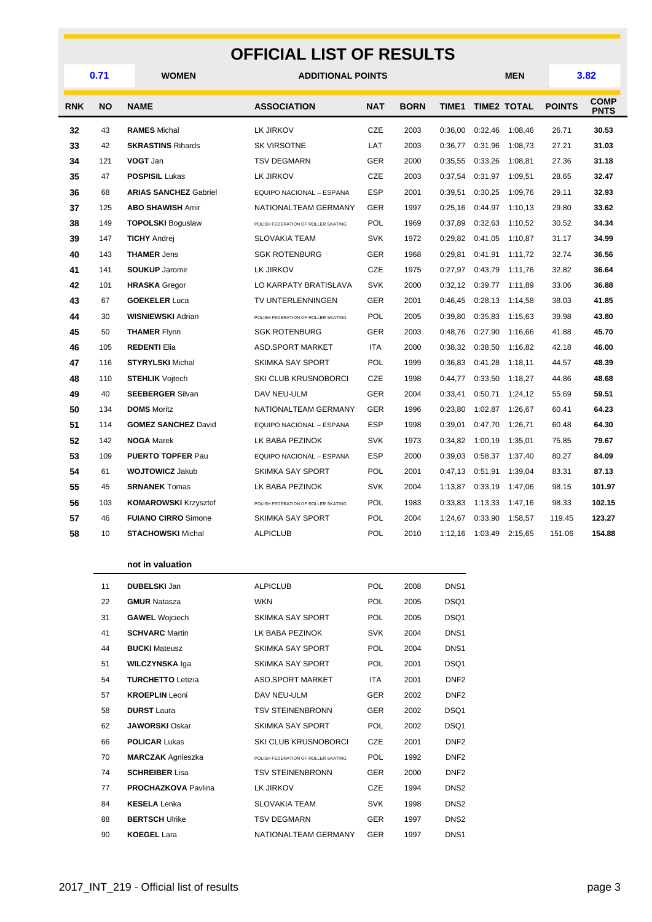## **OFFICIAL LIST OF RESULTS**

|            | 0.71      | WOMEN                        | <b>ADDITIONAL POINTS</b>            |            |             |              |                 | <b>MEN</b>         |               | 3.82                       |  |
|------------|-----------|------------------------------|-------------------------------------|------------|-------------|--------------|-----------------|--------------------|---------------|----------------------------|--|
| <b>RNK</b> | <b>NO</b> | <b>NAME</b>                  | <b>ASSOCIATION</b>                  | <b>NAT</b> | <b>BORN</b> | <b>TIME1</b> |                 | <b>TIME2 TOTAL</b> | <b>POINTS</b> | <b>COMP</b><br><b>PNTS</b> |  |
| 32         | 43        | <b>RAMES Michal</b>          | <b>LK JIRKOV</b>                    | <b>CZE</b> | 2003        | 0:36.00      | 0:32,46         | 1:08.46            | 26.71         | 30.53                      |  |
| 33         | 42        | <b>SKRASTINS Rihards</b>     | SK VIRSOTNE                         | LAT        | 2003        | 0:36,77      | 0:31,96         | 1:08,73            | 27.21         | 31.03                      |  |
| 34         | 121       | VOGT Jan                     | <b>TSV DEGMARN</b>                  | GER        | 2000        | 0:35,55      | 0:33,26         | 1:08,81            | 27.36         | 31.18                      |  |
| 35         | 47        | <b>POSPISIL Lukas</b>        | <b>LK JIRKOV</b>                    | <b>CZE</b> | 2003        | 0:37.54      | 0:31,97         | 1:09.51            | 28.65         | 32.47                      |  |
| 36         | 68        | <b>ARIAS SANCHEZ Gabriel</b> | EQUIPO NACIONAL - ESPANA            | <b>ESP</b> | 2001        | 0:39,51      | 0:30,25         | 1:09,76            | 29.11         | 32.93                      |  |
| 37         | 125       | <b>ABO SHAWISH Amir</b>      | NATIONALTEAM GERMANY                | <b>GER</b> | 1997        | 0:25,16      | 0:44,97         | 1:10,13            | 29.80         | 33.62                      |  |
| 38         | 149       | <b>TOPOLSKI Boguslaw</b>     | POLISH FEDERATION OF ROLLER SKATING | POL        | 1969        | 0:37,89      | 0:32,63         | 1:10,52            | 30.52         | 34.34                      |  |
| 39         | 147       | <b>TICHY Andrei</b>          | <b>SLOVAKIA TEAM</b>                | <b>SVK</b> | 1972        | 0:29.82      | 0:41,05         | 1:10.87            | 31.17         | 34.99                      |  |
| 40         | 143       | <b>THAMER Jens</b>           | <b>SGK ROTENBURG</b>                | GER        | 1968        | 0:29,81      | 0:41,91         | 1:11,72            | 32.74         | 36.56                      |  |
| 41         | 141       | <b>SOUKUP Jaromir</b>        | LK JIRKOV                           | <b>CZE</b> | 1975        | 0:27,97      | 0:43,79         | 1:11,76            | 32.82         | 36.64                      |  |
| 42         | 101       | <b>HRASKA</b> Gregor         | LO KARPATY BRATISLAVA               | <b>SVK</b> | 2000        | 0:32,12      | 0:39,77         | 1:11,89            | 33.06         | 36.88                      |  |
| 43         | 67        | <b>GOEKELER Luca</b>         | TV UNTERLENNINGEN                   | <b>GER</b> | 2001        | 0:46,45      | 0:28,13         | 1:14,58            | 38.03         | 41.85                      |  |
| 44         | 30        | <b>WISNIEWSKI Adrian</b>     | POLISH FEDERATION OF ROLLER SKATING | <b>POL</b> | 2005        | 0:39,80      | 0:35,83         | 1:15,63            | 39.98         | 43.80                      |  |
| 45         | 50        | <b>THAMER Flynn</b>          | <b>SGK ROTENBURG</b>                | GER        | 2003        | 0:48,76      | 0:27,90         | 1:16,66            | 41.88         | 45.70                      |  |
| 46         | 105       | <b>REDENTI Elia</b>          | <b>ASD.SPORT MARKET</b>             | <b>ITA</b> | 2000        | 0:38,32      | 0:38,50         | 1:16,82            | 42.18         | 46.00                      |  |
| 47         | 116       | <b>STYRYLSKI</b> Michal      | SKIMKA SAY SPORT                    | POL        | 1999        | 0:36,83      | 0:41,28         | 1:18,11            | 44.57         | 48.39                      |  |
| 48         | 110       | <b>STEHLIK</b> Vojtech       | <b>SKI CLUB KRUSNOBORCI</b>         | <b>CZE</b> | 1998        | 0:44,77      | 0:33,50         | 1:18,27            | 44.86         | 48.68                      |  |
| 49         | 40        | <b>SEEBERGER Silvan</b>      | DAV NEU-ULM                         | <b>GER</b> | 2004        | 0:33,41      | 0:50,71         | 1:24,12            | 55.69         | 59.51                      |  |
| 50         | 134       | <b>DOMS</b> Moritz           | NATIONALTEAM GERMANY                | <b>GER</b> | 1996        | 0:23,80      | 1:02,87         | 1:26,67            | 60.41         | 64.23                      |  |
| 51         | 114       | <b>GOMEZ SANCHEZ David</b>   | EQUIPO NACIONAL - ESPANA            | ESP        | 1998        | 0:39,01      | 0:47,70         | 1:26,71            | 60.48         | 64.30                      |  |
| 52         | 142       | <b>NOGA Marek</b>            | LK BABA PEZINOK                     | <b>SVK</b> | 1973        | 0:34,82      | 1:00,19         | 1:35,01            | 75.85         | 79.67                      |  |
| 53         | 109       | <b>PUERTO TOPFER Pau</b>     | EQUIPO NACIONAL - ESPANA            | <b>ESP</b> | 2000        | 0:39,03      | 0:58,37         | 1:37,40            | 80.27         | 84.09                      |  |
| 54         | 61        | <b>WOJTOWICZ Jakub</b>       | SKIMKA SAY SPORT                    | <b>POL</b> | 2001        | 0:47,13      | 0:51,91         | 1:39,04            | 83.31         | 87.13                      |  |
| 55         | 45        | <b>SRNANEK Tomas</b>         | LK BABA PEZINOK                     | SVK        | 2004        | 1:13,87      | 0:33,19         | 1:47,06            | 98.15         | 101.97                     |  |
| 56         | 103       | <b>KOMAROWSKI Krzysztof</b>  | POLISH FEDERATION OF ROLLER SKATING | POL        | 1983        | 0:33,83      | 1:13,33         | 1:47,16            | 98.33         | 102.15                     |  |
| 57         | 46        | <b>FUIANO CIRRO Simone</b>   | <b>SKIMKA SAY SPORT</b>             | <b>POL</b> | 2004        | 1:24.67      | 0:33.90         | 1:58.57            | 119.45        | 123.27                     |  |
| 58         | 10        | <b>STACHOWSKI Michal</b>     | <b>ALPICLUB</b>                     | <b>POL</b> | 2010        |              | 1:12,16 1:03,49 | 2:15,65            | 151.06        | 154.88                     |  |
|            |           |                              |                                     |            |             |              |                 |                    |               |                            |  |

#### **not in valuation**

| 11 | <b>DUBELSKI</b> Jan        | <b>ALPICLUB</b>                     | <b>POL</b> | 2008 | DNS <sub>1</sub> |
|----|----------------------------|-------------------------------------|------------|------|------------------|
| 22 | <b>GMUR Natasza</b>        | <b>WKN</b>                          | <b>POL</b> | 2005 | DSQ1             |
| 31 | <b>GAWEL</b> Wojciech      | <b>SKIMKA SAY SPORT</b>             | POL        | 2005 | DSQ1             |
| 41 | <b>SCHVARC</b> Martin      | LK BABA PEZINOK                     | <b>SVK</b> | 2004 | DNS <sub>1</sub> |
| 44 | <b>BUCKI Mateusz</b>       | SKIMKA SAY SPORT                    | <b>POL</b> | 2004 | DNS <sub>1</sub> |
| 51 | <b>WILCZYNSKA Iga</b>      | <b>SKIMKA SAY SPORT</b>             | <b>POL</b> | 2001 | DSQ1             |
| 54 | <b>TURCHETTO Letizia</b>   | <b>ASD SPORT MARKET</b>             | <b>ITA</b> | 2001 | DNF <sub>2</sub> |
| 57 | <b>KROEPLIN</b> Leoni      | DAV NEU-ULM                         | <b>GER</b> | 2002 | DNF <sub>2</sub> |
| 58 | <b>DURST</b> Laura         | <b>TSV STEINENBRONN</b>             | <b>GER</b> | 2002 | DSQ1             |
| 62 | <b>JAWORSKI</b> Oskar      | <b>SKIMKA SAY SPORT</b>             | <b>POL</b> | 2002 | DSQ1             |
| 66 | <b>POLICAR Lukas</b>       | <b>SKI CLUB KRUSNOBORCI</b>         | <b>CZE</b> | 2001 | DNF <sub>2</sub> |
| 70 | <b>MARCZAK</b> Agnieszka   | POLISH FEDERATION OF ROLLER SKATING | <b>POL</b> | 1992 | DNF <sub>2</sub> |
| 74 | <b>SCHREIBER Lisa</b>      | <b>TSV STEINENBRONN</b>             | <b>GER</b> | 2000 | DNF <sub>2</sub> |
| 77 | <b>PROCHAZKOVA Pavlina</b> | LK JIRKOV                           | <b>CZE</b> | 1994 | DNS <sub>2</sub> |
| 84 | <b>KESELA</b> Lenka        | <b>SLOVAKIA TEAM</b>                | <b>SVK</b> | 1998 | DNS <sub>2</sub> |
| 88 | <b>BERTSCH Ulrike</b>      | <b>TSV DEGMARN</b>                  | <b>GER</b> | 1997 | DNS <sub>2</sub> |
| 90 | <b>KOEGEL Lara</b>         | NATIONALTEAM GERMANY                | <b>GER</b> | 1997 | DNS <sub>1</sub> |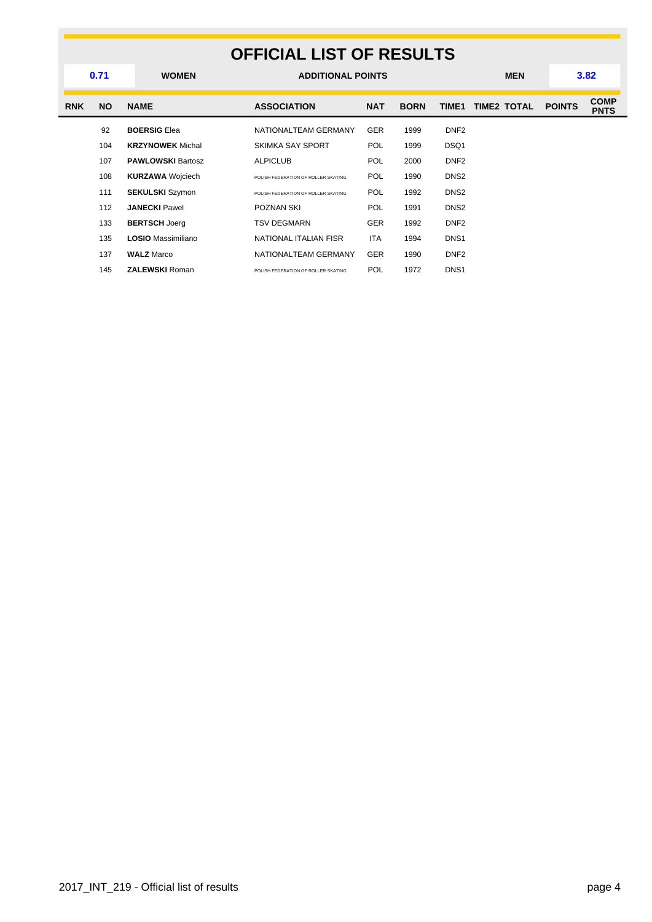### **OFFICIAL LIST OF RESULTS WOMEN ADDITIONAL POINTS MEN 0.71 3.82 RNK NO NAME ASSOCIATION NAT BORN TIME1 TIME2 TOTAL POINTS COMP PNTS** 92 **BOERSIG** Elea **NATIONALTEAM GERMANY** GER 1999 DNF2 104 **KRZYNOWEK** Michal SKIMKA SAY SPORT POL 1999 DSQ1 107 **PAWLOWSKI** Bartosz **ALPICLUB** POL 2000 DNF2 **108 KURZAWA** Wojciech **POLISH FEDERATION OF ROLLER SKATING** POL 1990 DNS2 111 **SEKULSKI** Szymon POLISH FEDERATION OF ROLLER SKATING POL 1992 DNS2 112 **JANECKI** Pawel **POZNAN SKI** POZNAN **POL** 1991 DNS2 133 **BERTSCH** Joerg **TSV DEGMARN** GER 1992 DNF2 135 **LOSIO** Massimiliano **NATIONAL ITALIAN FISR** ITA 1994 DNS1 137 **WALZ** Marco **NATIONALTEAM GERMANY** GER 1990 DNF2 145 **ZALEWSKI** Roman **POLISH FEDERATION OF ROLLER SKATING** POL 1972 DNS1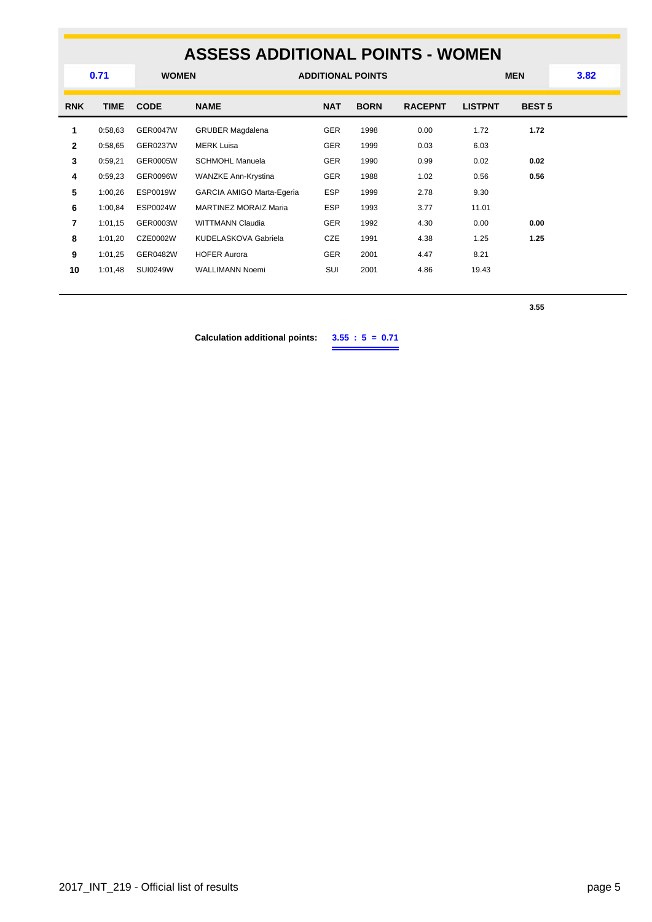# **ASSESS ADDITIONAL POINTS - WOMEN**

|                | 0.71        | <b>WOMEN</b>    |                              | <b>ADDITIONAL POINTS</b> |             |                |                | <b>MEN</b>    | 3.82 |
|----------------|-------------|-----------------|------------------------------|--------------------------|-------------|----------------|----------------|---------------|------|
| <b>RNK</b>     | <b>TIME</b> | <b>CODE</b>     | <b>NAME</b>                  | <b>NAT</b>               | <b>BORN</b> | <b>RACEPNT</b> | <b>LISTPNT</b> | <b>BEST 5</b> |      |
| 1              | 0:58,63     | <b>GER0047W</b> | <b>GRUBER Magdalena</b>      | <b>GER</b>               | 1998        | 0.00           | 1.72           | 1.72          |      |
| $\overline{2}$ | 0:58,65     | <b>GER0237W</b> | <b>MERK Luisa</b>            | <b>GER</b>               | 1999        | 0.03           | 6.03           |               |      |
| 3              | 0:59,21     | GER0005W        | <b>SCHMOHL Manuela</b>       | <b>GER</b>               | 1990        | 0.99           | 0.02           | 0.02          |      |
| 4              | 0:59,23     | <b>GER0096W</b> | WANZKE Ann-Krystina          | <b>GER</b>               | 1988        | 1.02           | 0.56           | 0.56          |      |
| 5              | 1:00,26     | <b>ESP0019W</b> | GARCIA AMIGO Marta-Egeria    | <b>ESP</b>               | 1999        | 2.78           | 9.30           |               |      |
| 6              | 1:00,84     | ESP0024W        | <b>MARTINEZ MORAIZ Maria</b> | <b>ESP</b>               | 1993        | 3.77           | 11.01          |               |      |
| 7              | 1:01,15     | GER0003W        | <b>WITTMANN Claudia</b>      | <b>GER</b>               | 1992        | 4.30           | 0.00           | 0.00          |      |
| 8              | 1:01,20     | CZE0002W        | KUDELASKOVA Gabriela         | CZE                      | 1991        | 4.38           | 1.25           | 1.25          |      |
| 9              | 1:01,25     | GER0482W        | <b>HOFER Aurora</b>          | <b>GER</b>               | 2001        | 4.47           | 8.21           |               |      |
| 10             | 1:01,48     | <b>SUI0249W</b> | <b>WALLIMANN Noemi</b>       | SUI                      | 2001        | 4.86           | 19.43          |               |      |
|                |             |                 |                              |                          |             |                |                |               |      |

**3.55**

**Calculation additional points: 3.55 : 5 = 0.71**